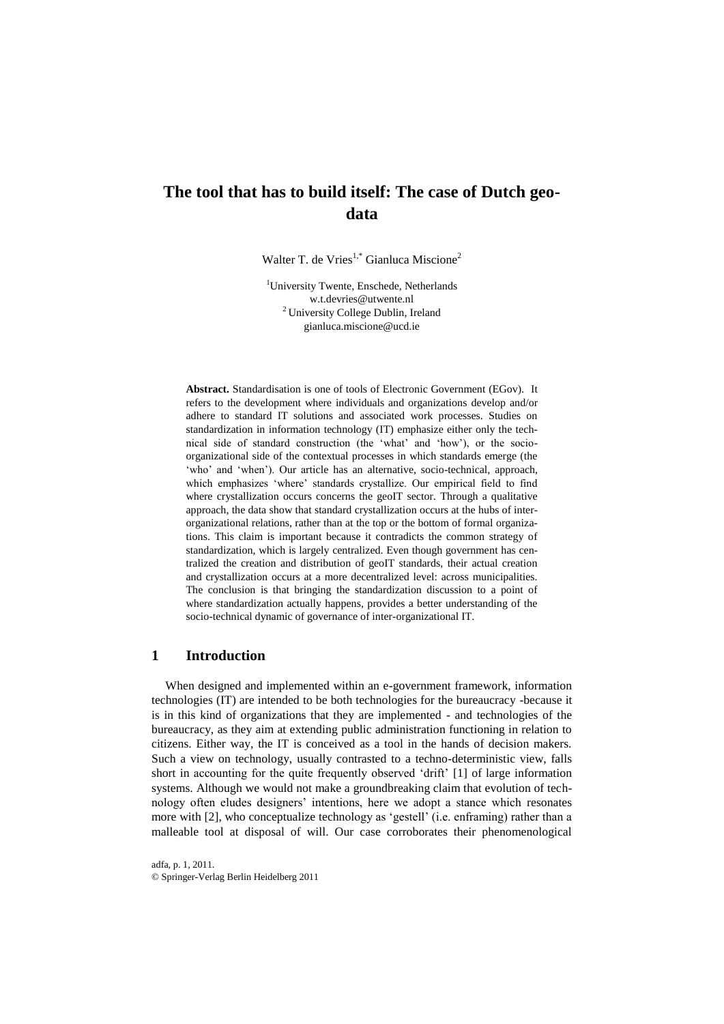# **The tool that has to build itself: The case of Dutch geodata**

Walter T. de Vries<sup>1,\*</sup> Gianluca Miscione<sup>2</sup>

<sup>1</sup>University Twente, Enschede, Netherlands [w.t.devries@utwente.nl](mailto:w.t.devries@utwente.nl) <sup>2</sup> University College Dublin, Ireland gianluca.miscione@ucd.ie

**Abstract.** Standardisation is one of tools of Electronic Government (EGov). It refers to the development where individuals and organizations develop and/or adhere to standard IT solutions and associated work processes. Studies on standardization in information technology (IT) emphasize either only the technical side of standard construction (the 'what' and 'how'), or the socioorganizational side of the contextual processes in which standards emerge (the 'who' and 'when'). Our article has an alternative, socio-technical, approach, which emphasizes 'where' standards crystallize. Our empirical field to find where crystallization occurs concerns the geoIT sector. Through a qualitative approach, the data show that standard crystallization occurs at the hubs of interorganizational relations, rather than at the top or the bottom of formal organizations. This claim is important because it contradicts the common strategy of standardization, which is largely centralized. Even though government has centralized the creation and distribution of geoIT standards, their actual creation and crystallization occurs at a more decentralized level: across municipalities. The conclusion is that bringing the standardization discussion to a point of where standardization actually happens, provides a better understanding of the socio-technical dynamic of governance of inter-organizational IT.

#### **1 Introduction**

When designed and implemented within an e-government framework, information technologies (IT) are intended to be both technologies for the bureaucracy -because it is in this kind of organizations that they are implemented - and technologies of the bureaucracy, as they aim at extending public administration functioning in relation to citizens. Either way, the IT is conceived as a tool in the hands of decision makers. Such a view on technology, usually contrasted to a techno-deterministic view, falls short in accounting for the quite frequently observed 'drift' [\[1\]](#page-10-0) of large information systems. Although we would not make a groundbreaking claim that evolution of technology often eludes designers' intentions, here we adopt a stance which resonates more with [\[2\]](#page-10-1), who conceptualize technology as 'gestell' (i.e. enframing) rather than a malleable tool at disposal of will. Our case corroborates their phenomenological

adfa, p. 1, 2011. © Springer-Verlag Berlin Heidelberg 2011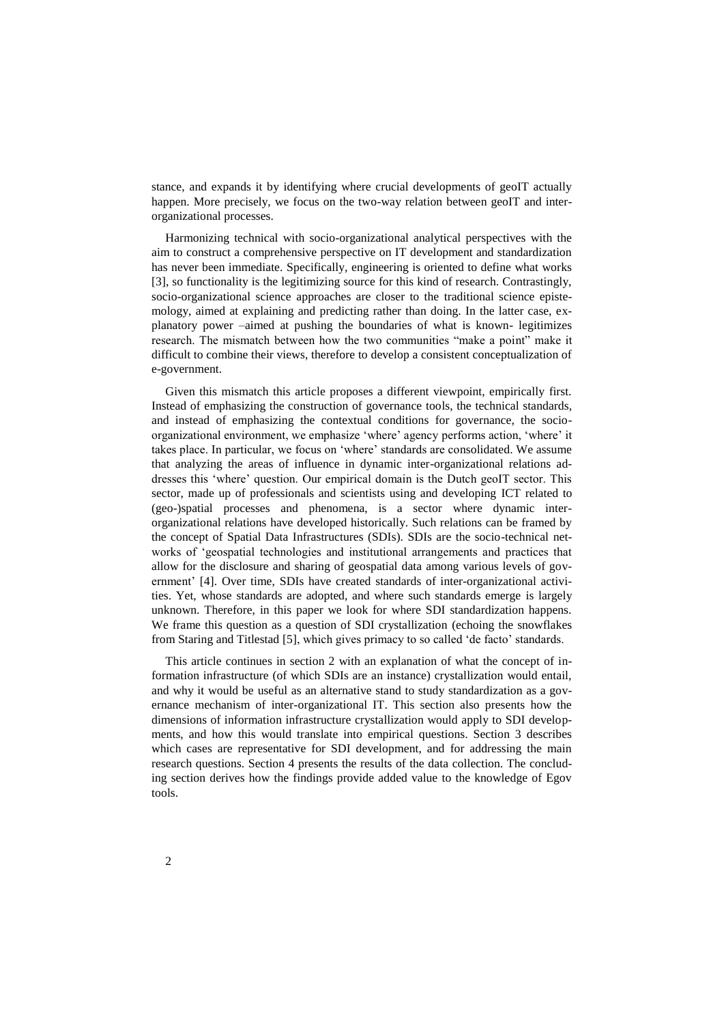stance, and expands it by identifying where crucial developments of geoIT actually happen. More precisely, we focus on the two-way relation between geoIT and interorganizational processes.

Harmonizing technical with socio-organizational analytical perspectives with the aim to construct a comprehensive perspective on IT development and standardization has never been immediate. Specifically, engineering is oriented to define what works [\[3\]](#page-10-2), so functionality is the legitimizing source for this kind of research. Contrastingly, socio-organizational science approaches are closer to the traditional science epistemology, aimed at explaining and predicting rather than doing. In the latter case, explanatory power –aimed at pushing the boundaries of what is known- legitimizes research. The mismatch between how the two communities "make a point" make it difficult to combine their views, therefore to develop a consistent conceptualization of e-government.

Given this mismatch this article proposes a different viewpoint, empirically first. Instead of emphasizing the construction of governance tools, the technical standards, and instead of emphasizing the contextual conditions for governance, the socioorganizational environment, we emphasize 'where' agency performs action, 'where' it takes place. In particular, we focus on 'where' standards are consolidated. We assume that analyzing the areas of influence in dynamic inter-organizational relations addresses this 'where' question. Our empirical domain is the Dutch geoIT sector. This sector, made up of professionals and scientists using and developing ICT related to (geo-)spatial processes and phenomena, is a sector where dynamic interorganizational relations have developed historically. Such relations can be framed by the concept of Spatial Data Infrastructures (SDIs). SDIs are the socio-technical networks of 'geospatial technologies and institutional arrangements and practices that allow for the disclosure and sharing of geospatial data among various levels of government' [\[4\]](#page-10-3). Over time, SDIs have created standards of inter-organizational activities. Yet, whose standards are adopted, and where such standards emerge is largely unknown. Therefore, in this paper we look for where SDI standardization happens. We frame this question as a question of SDI crystallization (echoing the snowflakes from Staring and Titlestad [\[5\]](#page-10-4), which gives primacy to so called 'de facto' standards.

This article continues in section 2 with an explanation of what the concept of information infrastructure (of which SDIs are an instance) crystallization would entail, and why it would be useful as an alternative stand to study standardization as a governance mechanism of inter-organizational IT. This section also presents how the dimensions of information infrastructure crystallization would apply to SDI developments, and how this would translate into empirical questions. Section 3 describes which cases are representative for SDI development, and for addressing the main research questions. Section 4 presents the results of the data collection. The concluding section derives how the findings provide added value to the knowledge of Egov tools.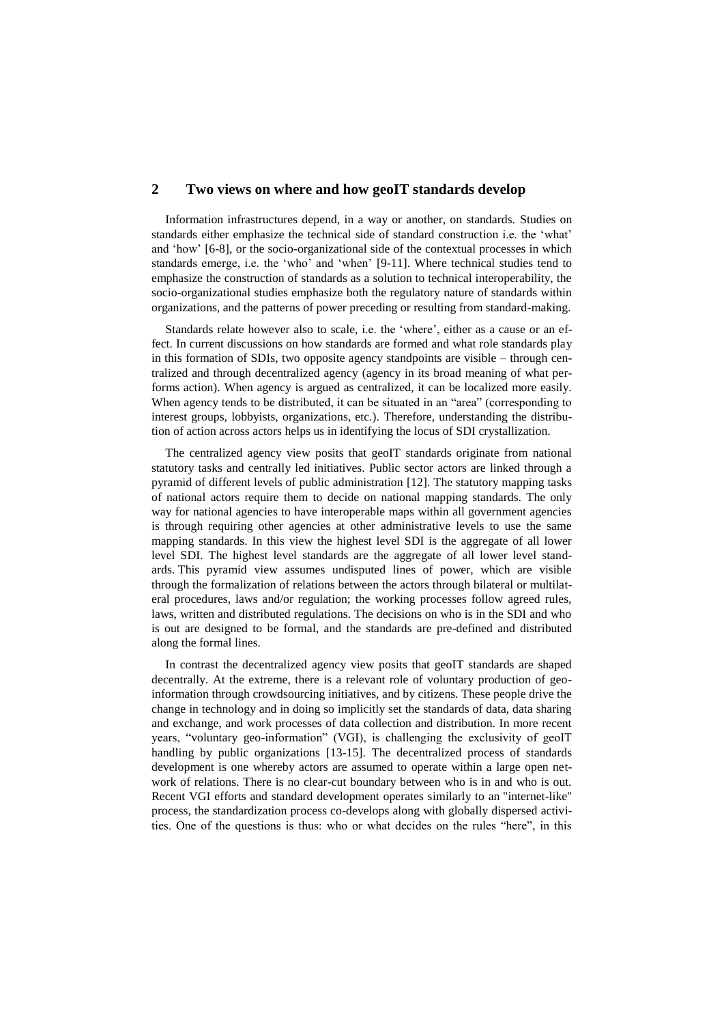#### **2 Two views on where and how geoIT standards develop**

Information infrastructures depend, in a way or another, on standards. Studies on standards either emphasize the technical side of standard construction i.e. the 'what' and 'how' [\[6-8\]](#page-10-5), or the socio-organizational side of the contextual processes in which standards emerge, i.e. the 'who' and 'when' [\[9-11\]](#page-10-6). Where technical studies tend to emphasize the construction of standards as a solution to technical interoperability, the socio-organizational studies emphasize both the regulatory nature of standards within organizations, and the patterns of power preceding or resulting from standard-making.

Standards relate however also to scale, i.e. the 'where', either as a cause or an effect. In current discussions on how standards are formed and what role standards play in this formation of SDIs, two opposite agency standpoints are visible – through centralized and through decentralized agency (agency in its broad meaning of what performs action). When agency is argued as centralized, it can be localized more easily. When agency tends to be distributed, it can be situated in an "area" (corresponding to interest groups, lobbyists, organizations, etc.). Therefore, understanding the distribution of action across actors helps us in identifying the locus of SDI crystallization.

The centralized agency view posits that geoIT standards originate from national statutory tasks and centrally led initiatives. Public sector actors are linked through a pyramid of different levels of public administration [\[12\]](#page-10-7). The statutory mapping tasks of national actors require them to decide on national mapping standards. The only way for national agencies to have interoperable maps within all government agencies is through requiring other agencies at other administrative levels to use the same mapping standards. In this view the highest level SDI is the aggregate of all lower level SDI. The highest level standards are the aggregate of all lower level standards. This pyramid view assumes undisputed lines of power, which are visible through the formalization of relations between the actors through bilateral or multilateral procedures, laws and/or regulation; the working processes follow agreed rules, laws, written and distributed regulations. The decisions on who is in the SDI and who is out are designed to be formal, and the standards are pre-defined and distributed along the formal lines.

In contrast the decentralized agency view posits that geoIT standards are shaped decentrally. At the extreme, there is a relevant role of voluntary production of geoinformation through crowdsourcing initiatives, and by citizens. These people drive the change in technology and in doing so implicitly set the standards of data, data sharing and exchange, and work processes of data collection and distribution. In more recent years, "voluntary geo-information" (VGI), is challenging the exclusivity of geoIT handling by public organizations [\[13-15\]](#page-11-0). The decentralized process of standards development is one whereby actors are assumed to operate within a large open network of relations. There is no clear-cut boundary between who is in and who is out. Recent VGI efforts and standard development operates similarly to an "internet-like" process, the standardization process co-develops along with globally dispersed activities. One of the questions is thus: who or what decides on the rules "here", in this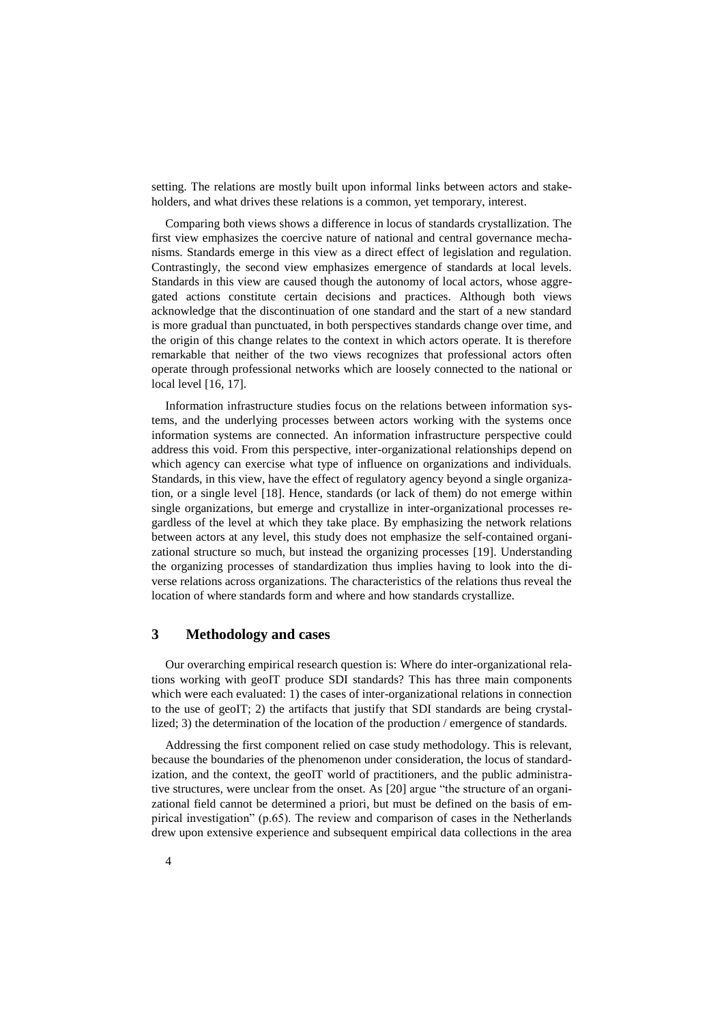setting. The relations are mostly built upon informal links between actors and stakeholders, and what drives these relations is a common, yet temporary, interest.

Comparing both views shows a difference in locus of standards crystallization. The first view emphasizes the coercive nature of national and central governance mechanisms. Standards emerge in this view as a direct effect of legislation and regulation. Contrastingly, the second view emphasizes emergence of standards at local levels. Standards in this view are caused though the autonomy of local actors, whose aggregated actions constitute certain decisions and practices. Although both views acknowledge that the discontinuation of one standard and the start of a new standard is more gradual than punctuated, in both perspectives standards change over time, and the origin of this change relates to the context in which actors operate. It is therefore remarkable that neither of the two views recognizes that professional actors often operate through professional networks which are loosely connected to the national or local level [\[16,](#page-11-1) [17\]](#page-11-2).

Information infrastructure studies focus on the relations between information systems, and the underlying processes between actors working with the systems once information systems are connected. An information infrastructure perspective could address this void. From this perspective, inter-organizational relationships depend on which agency can exercise what type of influence on organizations and individuals. Standards, in this view, have the effect of regulatory agency beyond a single organization, or a single level [\[18\]](#page-11-3). Hence, standards (or lack of them) do not emerge within single organizations, but emerge and crystallize in inter-organizational processes regardless of the level at which they take place. By emphasizing the network relations between actors at any level, this study does not emphasize the self-contained organizational structure so much, but instead the organizing processes [\[19\]](#page-11-4). Understanding the organizing processes of standardization thus implies having to look into the diverse relations across organizations. The characteristics of the relations thus reveal the location of where standards form and where and how standards crystallize.

## **3 Methodology and cases**

Our overarching empirical research question is: Where do inter-organizational relations working with geoIT produce SDI standards? This has three main components which were each evaluated: 1) the cases of inter-organizational relations in connection to the use of geoIT; 2) the artifacts that justify that SDI standards are being crystallized; 3) the determination of the location of the production / emergence of standards.

Addressing the first component relied on case study methodology. This is relevant, because the boundaries of the phenomenon under consideration, the locus of standardization, and the context, the geoIT world of practitioners, and the public administrative structures, were unclear from the onset. As [\[20\]](#page-11-5) argue "the structure of an organizational field cannot be determined a priori, but must be defined on the basis of empirical investigation" (p.65). The review and comparison of cases in the Netherlands drew upon extensive experience and subsequent empirical data collections in the area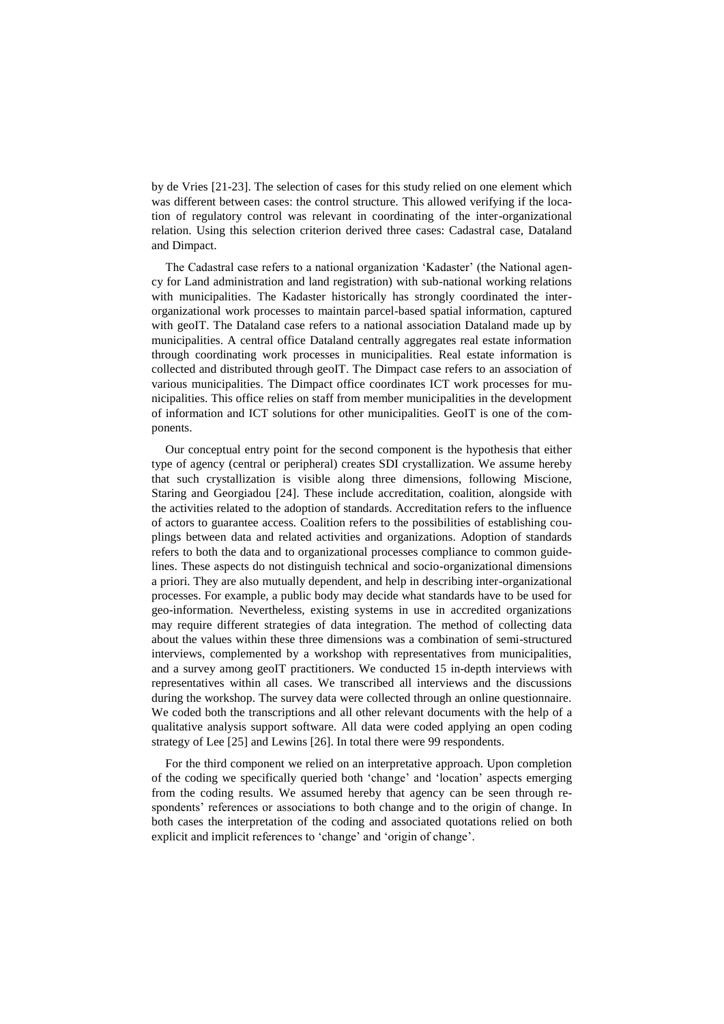by de Vries [\[21-23\]](#page-11-6). The selection of cases for this study relied on one element which was different between cases: the control structure. This allowed verifying if the location of regulatory control was relevant in coordinating of the inter-organizational relation. Using this selection criterion derived three cases: Cadastral case, Dataland and Dimpact.

The Cadastral case refers to a national organization 'Kadaster' (the National agency for Land administration and land registration) with sub-national working relations with municipalities. The Kadaster historically has strongly coordinated the interorganizational work processes to maintain parcel-based spatial information, captured with geoIT. The Dataland case refers to a national association Dataland made up by municipalities. A central office Dataland centrally aggregates real estate information through coordinating work processes in municipalities. Real estate information is collected and distributed through geoIT. The Dimpact case refers to an association of various municipalities. The Dimpact office coordinates ICT work processes for municipalities. This office relies on staff from member municipalities in the development of information and ICT solutions for other municipalities. GeoIT is one of the components.

Our conceptual entry point for the second component is the hypothesis that either type of agency (central or peripheral) creates SDI crystallization. We assume hereby that such crystallization is visible along three dimensions, following Miscione, Staring and Georgiadou [\[24\]](#page-11-7). These include accreditation, coalition, alongside with the activities related to the adoption of standards. Accreditation refers to the influence of actors to guarantee access. Coalition refers to the possibilities of establishing couplings between data and related activities and organizations. Adoption of standards refers to both the data and to organizational processes compliance to common guidelines. These aspects do not distinguish technical and socio-organizational dimensions a priori. They are also mutually dependent, and help in describing inter-organizational processes. For example, a public body may decide what standards have to be used for geo-information. Nevertheless, existing systems in use in accredited organizations may require different strategies of data integration. The method of collecting data about the values within these three dimensions was a combination of semi-structured interviews, complemented by a workshop with representatives from municipalities, and a survey among geoIT practitioners. We conducted 15 in-depth interviews with representatives within all cases. We transcribed all interviews and the discussions during the workshop. The survey data were collected through an online questionnaire. We coded both the transcriptions and all other relevant documents with the help of a qualitative analysis support software. All data were coded applying an open coding strategy of Lee [\[25\]](#page-11-8) and Lewins [\[26\]](#page-11-9). In total there were 99 respondents.

For the third component we relied on an interpretative approach. Upon completion of the coding we specifically queried both 'change' and 'location' aspects emerging from the coding results. We assumed hereby that agency can be seen through respondents' references or associations to both change and to the origin of change. In both cases the interpretation of the coding and associated quotations relied on both explicit and implicit references to 'change' and 'origin of change'.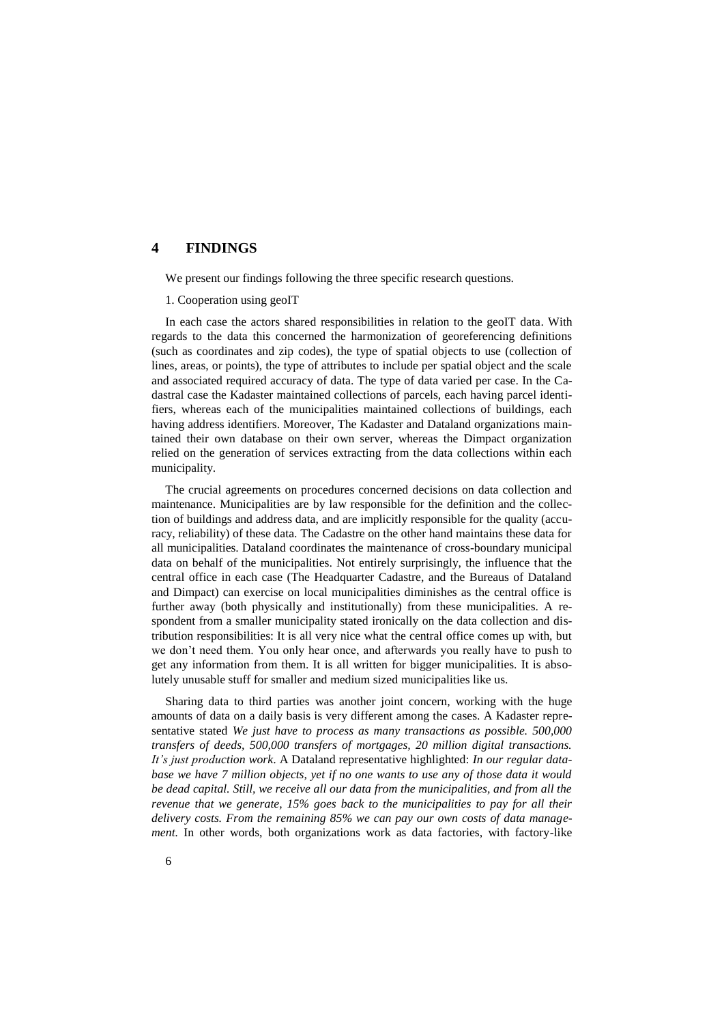### **4 FINDINGS**

We present our findings following the three specific research questions.

1. Cooperation using geoIT

In each case the actors shared responsibilities in relation to the geoIT data. With regards to the data this concerned the harmonization of georeferencing definitions (such as coordinates and zip codes), the type of spatial objects to use (collection of lines, areas, or points), the type of attributes to include per spatial object and the scale and associated required accuracy of data. The type of data varied per case. In the Cadastral case the Kadaster maintained collections of parcels, each having parcel identifiers, whereas each of the municipalities maintained collections of buildings, each having address identifiers. Moreover, The Kadaster and Dataland organizations maintained their own database on their own server, whereas the Dimpact organization relied on the generation of services extracting from the data collections within each municipality.

The crucial agreements on procedures concerned decisions on data collection and maintenance. Municipalities are by law responsible for the definition and the collection of buildings and address data, and are implicitly responsible for the quality (accuracy, reliability) of these data. The Cadastre on the other hand maintains these data for all municipalities. Dataland coordinates the maintenance of cross-boundary municipal data on behalf of the municipalities. Not entirely surprisingly, the influence that the central office in each case (The Headquarter Cadastre, and the Bureaus of Dataland and Dimpact) can exercise on local municipalities diminishes as the central office is further away (both physically and institutionally) from these municipalities. A respondent from a smaller municipality stated ironically on the data collection and distribution responsibilities: It is all very nice what the central office comes up with, but we don't need them. You only hear once, and afterwards you really have to push to get any information from them. It is all written for bigger municipalities. It is absolutely unusable stuff for smaller and medium sized municipalities like us.

Sharing data to third parties was another joint concern, working with the huge amounts of data on a daily basis is very different among the cases. A Kadaster representative stated *We just have to process as many transactions as possible. 500,000 transfers of deeds, 500,000 transfers of mortgages, 20 million digital transactions. It's just production work*. A Dataland representative highlighted: *In our regular database we have 7 million objects, yet if no one wants to use any of those data it would be dead capital. Still, we receive all our data from the municipalities, and from all the revenue that we generate, 15% goes back to the municipalities to pay for all their delivery costs. From the remaining 85% we can pay our own costs of data management.* In other words, both organizations work as data factories, with factory-like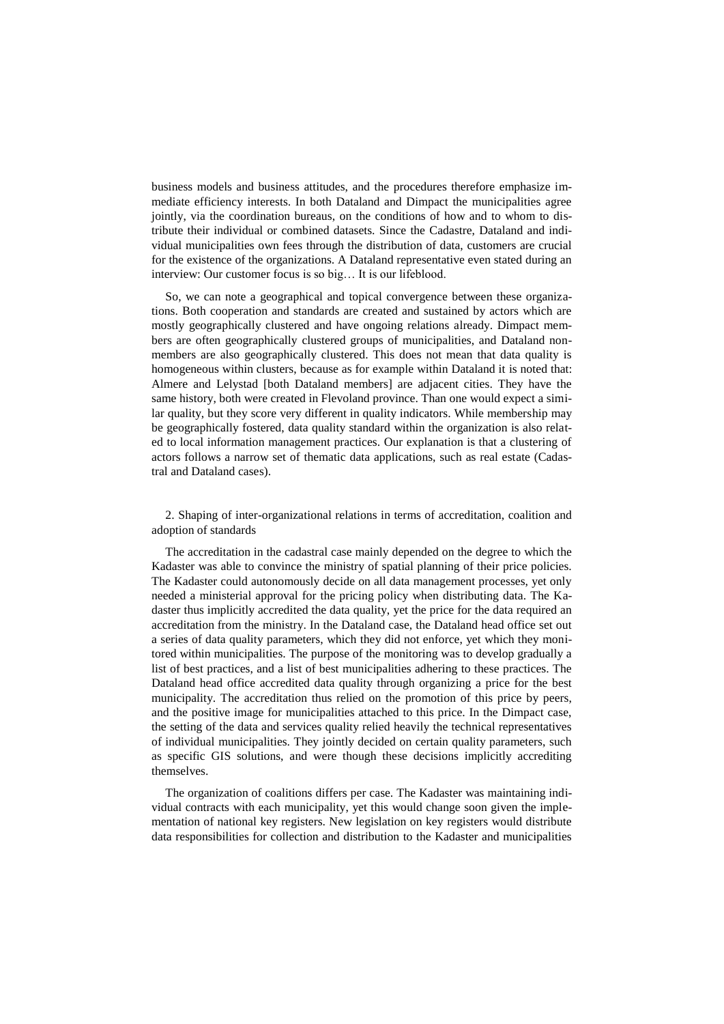business models and business attitudes, and the procedures therefore emphasize immediate efficiency interests. In both Dataland and Dimpact the municipalities agree jointly, via the coordination bureaus, on the conditions of how and to whom to distribute their individual or combined datasets. Since the Cadastre, Dataland and individual municipalities own fees through the distribution of data, customers are crucial for the existence of the organizations. A Dataland representative even stated during an interview: Our customer focus is so big… It is our lifeblood.

So, we can note a geographical and topical convergence between these organizations. Both cooperation and standards are created and sustained by actors which are mostly geographically clustered and have ongoing relations already. Dimpact members are often geographically clustered groups of municipalities, and Dataland nonmembers are also geographically clustered. This does not mean that data quality is homogeneous within clusters, because as for example within Dataland it is noted that: Almere and Lelystad [both Dataland members] are adjacent cities. They have the same history, both were created in Flevoland province. Than one would expect a similar quality, but they score very different in quality indicators. While membership may be geographically fostered, data quality standard within the organization is also related to local information management practices. Our explanation is that a clustering of actors follows a narrow set of thematic data applications, such as real estate (Cadastral and Dataland cases).

2. Shaping of inter-organizational relations in terms of accreditation, coalition and adoption of standards

The accreditation in the cadastral case mainly depended on the degree to which the Kadaster was able to convince the ministry of spatial planning of their price policies. The Kadaster could autonomously decide on all data management processes, yet only needed a ministerial approval for the pricing policy when distributing data. The Kadaster thus implicitly accredited the data quality, yet the price for the data required an accreditation from the ministry. In the Dataland case, the Dataland head office set out a series of data quality parameters, which they did not enforce, yet which they monitored within municipalities. The purpose of the monitoring was to develop gradually a list of best practices, and a list of best municipalities adhering to these practices. The Dataland head office accredited data quality through organizing a price for the best municipality. The accreditation thus relied on the promotion of this price by peers, and the positive image for municipalities attached to this price. In the Dimpact case, the setting of the data and services quality relied heavily the technical representatives of individual municipalities. They jointly decided on certain quality parameters, such as specific GIS solutions, and were though these decisions implicitly accrediting themselves.

The organization of coalitions differs per case. The Kadaster was maintaining individual contracts with each municipality, yet this would change soon given the implementation of national key registers. New legislation on key registers would distribute data responsibilities for collection and distribution to the Kadaster and municipalities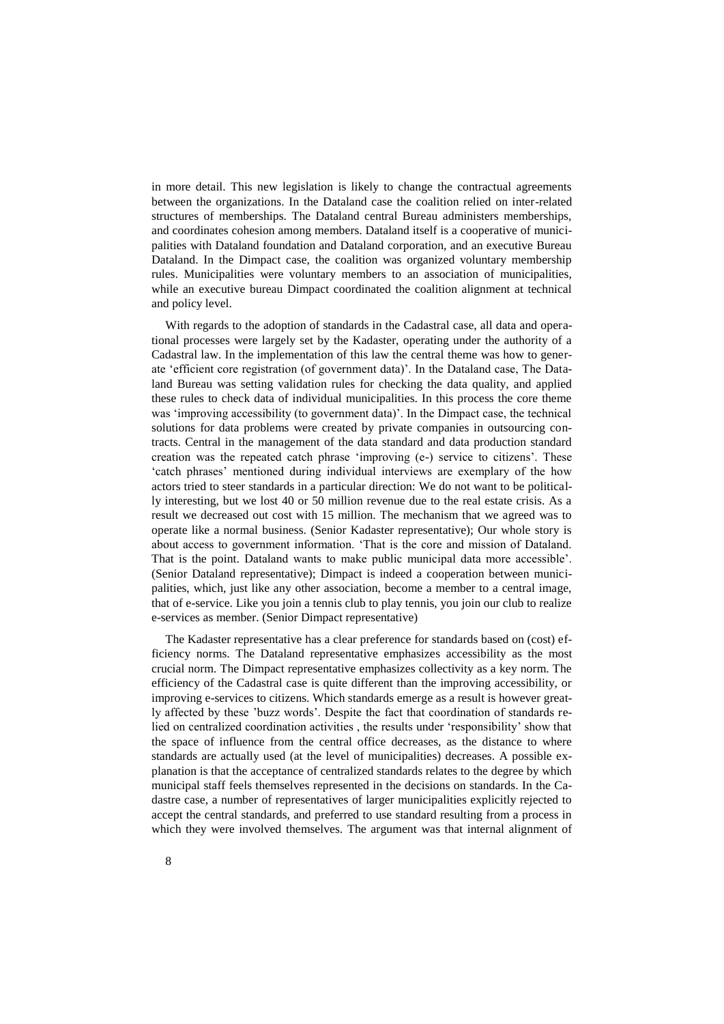in more detail. This new legislation is likely to change the contractual agreements between the organizations. In the Dataland case the coalition relied on inter-related structures of memberships. The Dataland central Bureau administers memberships, and coordinates cohesion among members. Dataland itself is a cooperative of municipalities with Dataland foundation and Dataland corporation, and an executive Bureau Dataland. In the Dimpact case, the coalition was organized voluntary membership rules. Municipalities were voluntary members to an association of municipalities, while an executive bureau Dimpact coordinated the coalition alignment at technical and policy level.

With regards to the adoption of standards in the Cadastral case, all data and operational processes were largely set by the Kadaster, operating under the authority of a Cadastral law. In the implementation of this law the central theme was how to generate 'efficient core registration (of government data)'. In the Dataland case, The Dataland Bureau was setting validation rules for checking the data quality, and applied these rules to check data of individual municipalities. In this process the core theme was 'improving accessibility (to government data)'. In the Dimpact case, the technical solutions for data problems were created by private companies in outsourcing contracts. Central in the management of the data standard and data production standard creation was the repeated catch phrase 'improving (e-) service to citizens'. These 'catch phrases' mentioned during individual interviews are exemplary of the how actors tried to steer standards in a particular direction: We do not want to be politically interesting, but we lost 40 or 50 million revenue due to the real estate crisis. As a result we decreased out cost with 15 million. The mechanism that we agreed was to operate like a normal business. (Senior Kadaster representative); Our whole story is about access to government information. 'That is the core and mission of Dataland. That is the point. Dataland wants to make public municipal data more accessible'. (Senior Dataland representative); Dimpact is indeed a cooperation between municipalities, which, just like any other association, become a member to a central image, that of e-service. Like you join a tennis club to play tennis, you join our club to realize e-services as member. (Senior Dimpact representative)

The Kadaster representative has a clear preference for standards based on (cost) efficiency norms. The Dataland representative emphasizes accessibility as the most crucial norm. The Dimpact representative emphasizes collectivity as a key norm. The efficiency of the Cadastral case is quite different than the improving accessibility, or improving e-services to citizens. Which standards emerge as a result is however greatly affected by these 'buzz words'. Despite the fact that coordination of standards relied on centralized coordination activities , the results under 'responsibility' show that the space of influence from the central office decreases, as the distance to where standards are actually used (at the level of municipalities) decreases. A possible explanation is that the acceptance of centralized standards relates to the degree by which municipal staff feels themselves represented in the decisions on standards. In the Cadastre case, a number of representatives of larger municipalities explicitly rejected to accept the central standards, and preferred to use standard resulting from a process in which they were involved themselves. The argument was that internal alignment of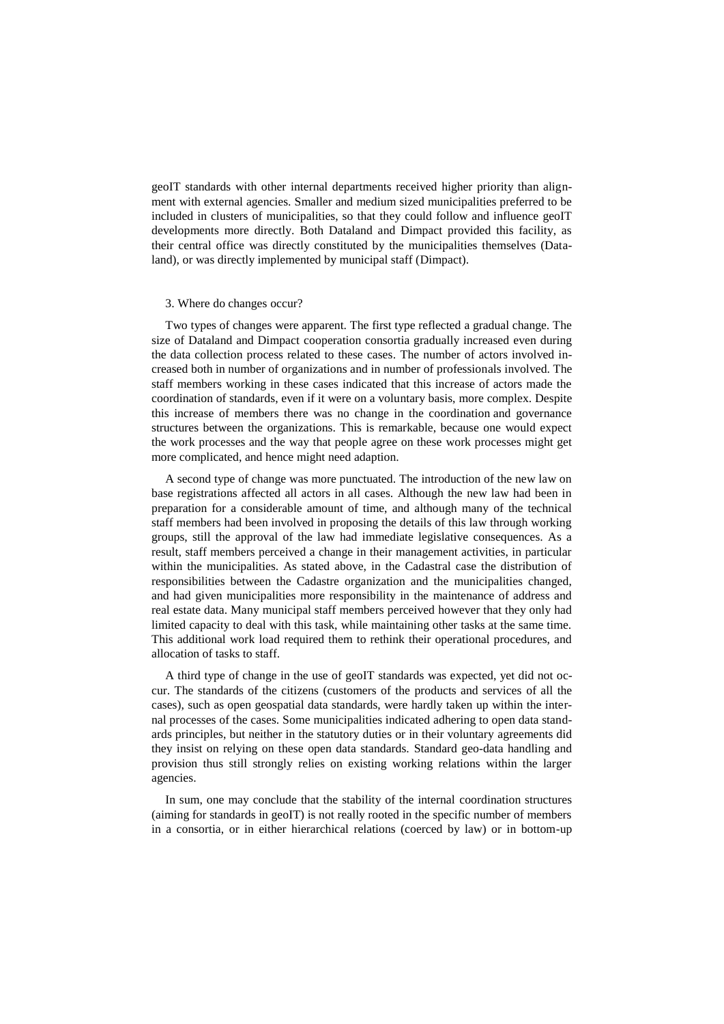geoIT standards with other internal departments received higher priority than alignment with external agencies. Smaller and medium sized municipalities preferred to be included in clusters of municipalities, so that they could follow and influence geoIT developments more directly. Both Dataland and Dimpact provided this facility, as their central office was directly constituted by the municipalities themselves (Dataland), or was directly implemented by municipal staff (Dimpact).

#### 3. Where do changes occur?

Two types of changes were apparent. The first type reflected a gradual change. The size of Dataland and Dimpact cooperation consortia gradually increased even during the data collection process related to these cases. The number of actors involved increased both in number of organizations and in number of professionals involved. The staff members working in these cases indicated that this increase of actors made the coordination of standards, even if it were on a voluntary basis, more complex. Despite this increase of members there was no change in the coordination and governance structures between the organizations. This is remarkable, because one would expect the work processes and the way that people agree on these work processes might get more complicated, and hence might need adaption.

A second type of change was more punctuated. The introduction of the new law on base registrations affected all actors in all cases. Although the new law had been in preparation for a considerable amount of time, and although many of the technical staff members had been involved in proposing the details of this law through working groups, still the approval of the law had immediate legislative consequences. As a result, staff members perceived a change in their management activities, in particular within the municipalities. As stated above, in the Cadastral case the distribution of responsibilities between the Cadastre organization and the municipalities changed, and had given municipalities more responsibility in the maintenance of address and real estate data. Many municipal staff members perceived however that they only had limited capacity to deal with this task, while maintaining other tasks at the same time. This additional work load required them to rethink their operational procedures, and allocation of tasks to staff.

A third type of change in the use of geoIT standards was expected, yet did not occur. The standards of the citizens (customers of the products and services of all the cases), such as open geospatial data standards, were hardly taken up within the internal processes of the cases. Some municipalities indicated adhering to open data standards principles, but neither in the statutory duties or in their voluntary agreements did they insist on relying on these open data standards. Standard geo-data handling and provision thus still strongly relies on existing working relations within the larger agencies.

In sum, one may conclude that the stability of the internal coordination structures (aiming for standards in geoIT) is not really rooted in the specific number of members in a consortia, or in either hierarchical relations (coerced by law) or in bottom-up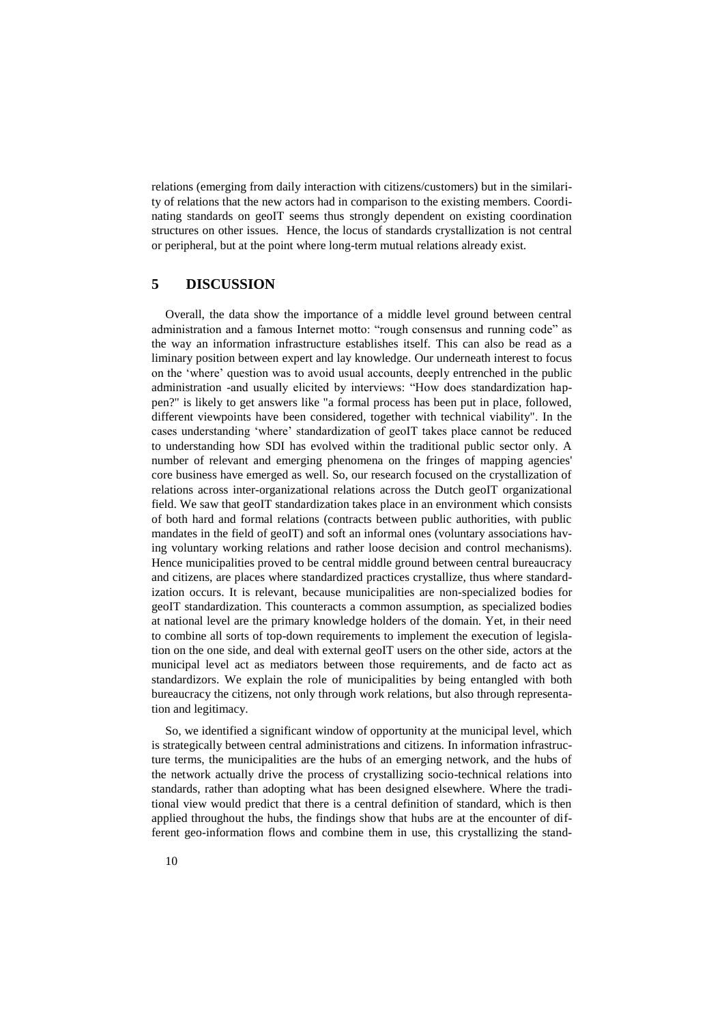relations (emerging from daily interaction with citizens/customers) but in the similarity of relations that the new actors had in comparison to the existing members. Coordinating standards on geoIT seems thus strongly dependent on existing coordination structures on other issues. Hence, the locus of standards crystallization is not central or peripheral, but at the point where long-term mutual relations already exist.

#### **5 DISCUSSION**

Overall, the data show the importance of a middle level ground between central administration and a famous Internet motto: "rough consensus and running code" as the way an information infrastructure establishes itself. This can also be read as a liminary position between expert and lay knowledge. Our underneath interest to focus on the 'where' question was to avoid usual accounts, deeply entrenched in the public administration -and usually elicited by interviews: "How does standardization happen?" is likely to get answers like "a formal process has been put in place, followed, different viewpoints have been considered, together with technical viability". In the cases understanding 'where' standardization of geoIT takes place cannot be reduced to understanding how SDI has evolved within the traditional public sector only. A number of relevant and emerging phenomena on the fringes of mapping agencies' core business have emerged as well. So, our research focused on the crystallization of relations across inter-organizational relations across the Dutch geoIT organizational field. We saw that geoIT standardization takes place in an environment which consists of both hard and formal relations (contracts between public authorities, with public mandates in the field of geoIT) and soft an informal ones (voluntary associations having voluntary working relations and rather loose decision and control mechanisms). Hence municipalities proved to be central middle ground between central bureaucracy and citizens, are places where standardized practices crystallize, thus where standardization occurs. It is relevant, because municipalities are non-specialized bodies for geoIT standardization. This counteracts a common assumption, as specialized bodies at national level are the primary knowledge holders of the domain. Yet, in their need to combine all sorts of top-down requirements to implement the execution of legislation on the one side, and deal with external geoIT users on the other side, actors at the municipal level act as mediators between those requirements, and de facto act as standardizors. We explain the role of municipalities by being entangled with both bureaucracy the citizens, not only through work relations, but also through representation and legitimacy.

So, we identified a significant window of opportunity at the municipal level, which is strategically between central administrations and citizens. In information infrastructure terms, the municipalities are the hubs of an emerging network, and the hubs of the network actually drive the process of crystallizing socio-technical relations into standards, rather than adopting what has been designed elsewhere. Where the traditional view would predict that there is a central definition of standard, which is then applied throughout the hubs, the findings show that hubs are at the encounter of different geo-information flows and combine them in use, this crystallizing the stand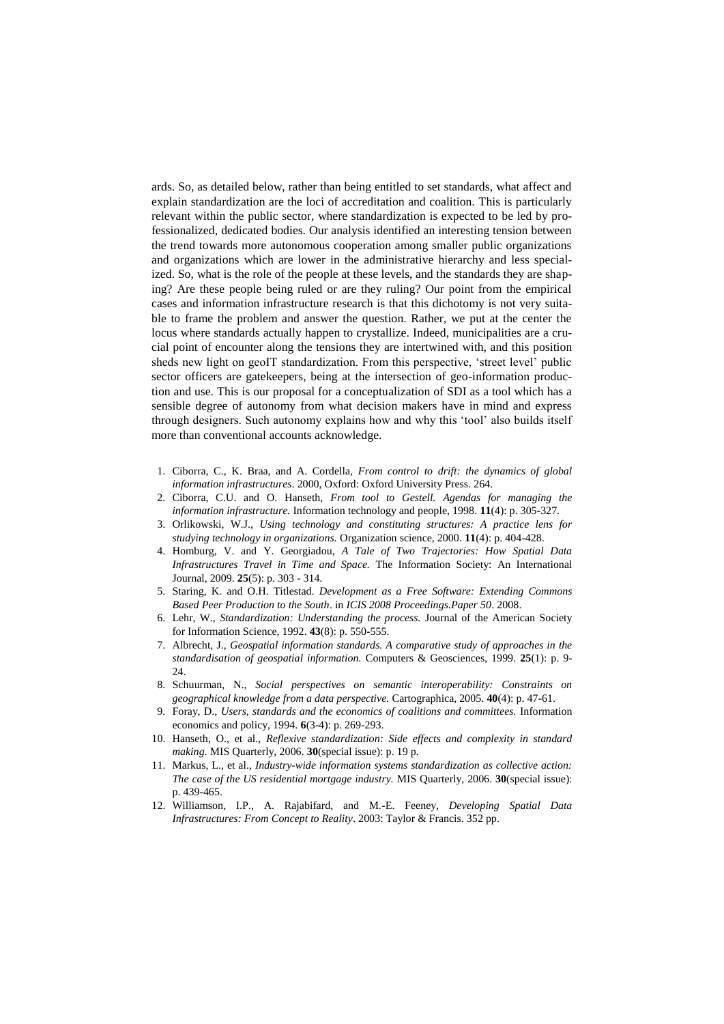ards. So, as detailed below, rather than being entitled to set standards, what affect and explain standardization are the loci of accreditation and coalition. This is particularly relevant within the public sector, where standardization is expected to be led by professionalized, dedicated bodies. Our analysis identified an interesting tension between the trend towards more autonomous cooperation among smaller public organizations and organizations which are lower in the administrative hierarchy and less specialized. So, what is the role of the people at these levels, and the standards they are shaping? Are these people being ruled or are they ruling? Our point from the empirical cases and information infrastructure research is that this dichotomy is not very suitable to frame the problem and answer the question. Rather, we put at the center the locus where standards actually happen to crystallize. Indeed, municipalities are a crucial point of encounter along the tensions they are intertwined with, and this position sheds new light on geoIT standardization. From this perspective, 'street level' public sector officers are gatekeepers, being at the intersection of geo-information production and use. This is our proposal for a conceptualization of SDI as a tool which has a sensible degree of autonomy from what decision makers have in mind and express through designers. Such autonomy explains how and why this 'tool' also builds itself more than conventional accounts acknowledge.

- <span id="page-10-0"></span>1. Ciborra, C., K. Braa, and A. Cordella, *From control to drift: the dynamics of global information infrastructures*. 2000, Oxford: Oxford University Press. 264.
- <span id="page-10-1"></span>2. Ciborra, C.U. and O. Hanseth, *From tool to Gestell. Agendas for managing the information infrastructure.* Information technology and people, 1998. **11**(4): p. 305-327.
- <span id="page-10-2"></span>3. Orlikowski, W.J., *Using technology and constituting structures: A practice lens for studying technology in organizations.* Organization science, 2000. **11**(4): p. 404-428.
- <span id="page-10-3"></span>4. Homburg, V. and Y. Georgiadou, *A Tale of Two Trajectories: How Spatial Data Infrastructures Travel in Time and Space.* The Information Society: An International Journal, 2009. **25**(5): p. 303 - 314.
- <span id="page-10-4"></span>5. Staring, K. and O.H. Titlestad. *Development as a Free Software: Extending Commons Based Peer Production to the South*. in *ICIS 2008 Proceedings.Paper 50*. 2008.
- <span id="page-10-5"></span>6. Lehr, W., *Standardization: Understanding the process.* Journal of the American Society for Information Science, 1992. **43**(8): p. 550-555.
- 7. Albrecht, J., *Geospatial information standards. A comparative study of approaches in the standardisation of geospatial information.* Computers & Geosciences, 1999. **25**(1): p. 9- 24.
- 8. Schuurman, N., *Social perspectives on semantic interoperability: Constraints on geographical knowledge from a data perspective.* Cartographica, 2005. **40**(4): p. 47-61.
- <span id="page-10-6"></span>9. Foray, D., *Users, standards and the economics of coalitions and committees.* Information economics and policy, 1994. **6**(3-4): p. 269-293.
- 10. Hanseth, O., et al., *Reflexive standardization: Side effects and complexity in standard making.* MIS Quarterly, 2006. **30**(special issue): p. 19 p.
- 11. Markus, L., et al., *Industry-wide information systems standardization as collective action: The case of the US residential mortgage industry.* MIS Quarterly, 2006. **30**(special issue): p. 439-465.
- <span id="page-10-7"></span>12. Williamson, I.P., A. Rajabifard, and M.-E. Feeney, *Developing Spatial Data Infrastructures: From Concept to Reality*. 2003: Taylor & Francis. 352 pp.